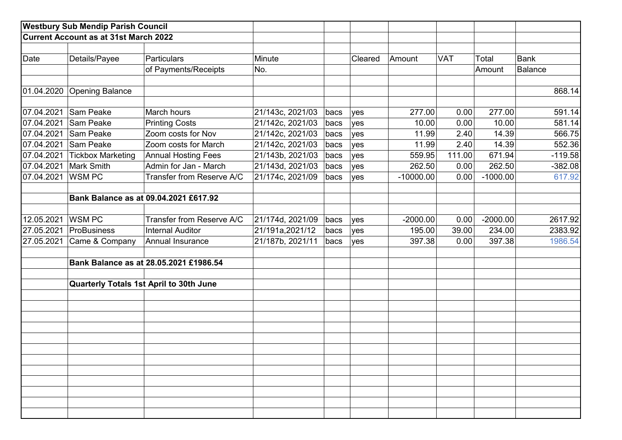|            | <b>Westbury Sub Mendip Parish Council</b>    |                                         |                  |      |         |             |            |            |             |
|------------|----------------------------------------------|-----------------------------------------|------------------|------|---------|-------------|------------|------------|-------------|
|            | <b>Current Account as at 31st March 2022</b> |                                         |                  |      |         |             |            |            |             |
|            |                                              |                                         |                  |      |         |             |            |            |             |
| Date       | Details/Payee                                | <b>Particulars</b>                      | Minute           |      | Cleared | Amount      | <b>VAT</b> | Total      | <b>Bank</b> |
|            |                                              | of Payments/Receipts                    | No.              |      |         |             |            | Amount     | Balance     |
|            |                                              |                                         |                  |      |         |             |            |            |             |
| 01.04.2020 | Opening Balance                              |                                         |                  |      |         |             |            |            | 868.14      |
|            |                                              |                                         |                  |      |         |             |            |            |             |
| 07.04.2021 | Sam Peake                                    | March hours                             | 21/143c, 2021/03 | bacs | yes     | 277.00      | 0.00       | 277.00     | 591.14      |
| 07.04.2021 | Sam Peake                                    | <b>Printing Costs</b>                   | 21/142c, 2021/03 | bacs | yes     | 10.00       | 0.00       | 10.00      | 581.14      |
| 07.04.2021 | Sam Peake                                    | Zoom costs for Nov                      | 21/142c, 2021/03 | bacs | yes     | 11.99       | 2.40       | 14.39      | 566.75      |
| 07.04.2021 | Sam Peake                                    | Zoom costs for March                    | 21/142c, 2021/03 | bacs | yes     | 11.99       | 2.40       | 14.39      | 552.36      |
| 07.04.2021 | <b>Tickbox Marketing</b>                     | <b>Annual Hosting Fees</b>              | 21/143b, 2021/03 | bacs | yes     | 559.95      | 111.00     | 671.94     | $-119.58$   |
| 07.04.2021 | Mark Smith                                   | Admin for Jan - March                   | 21/143d, 2021/03 | bacs | yes     | 262.50      | 0.00       | 262.50     | $-382.08$   |
| 07.04.2021 | <b>WSMPC</b>                                 | Transfer from Reserve A/C               | 21/174c, 2021/09 | bacs | yes     | $-10000.00$ | 0.00       | $-1000.00$ | 617.92      |
|            |                                              |                                         |                  |      |         |             |            |            |             |
|            |                                              | Bank Balance as at 09.04.2021 £617.92   |                  |      |         |             |            |            |             |
|            |                                              |                                         |                  |      |         |             |            |            |             |
| 12.05.2021 | WSM PC                                       | Transfer from Reserve A/C               | 21/174d, 2021/09 | bacs | yes     | $-2000.00$  | 0.00       | $-2000.00$ | 2617.92     |
| 27.05.2021 | ProBusiness                                  | <b>Internal Auditor</b>                 | 21/191a, 2021/12 | bacs | yes     | 195.00      | 39.00      | 234.00     | 2383.92     |
| 27.05.2021 | Came & Company                               | Annual Insurance                        | 21/187b, 2021/11 | bacs | yes     | 397.38      | 0.00       | 397.38     | 1986.54     |
|            |                                              | Bank Balance as at 28.05.2021 £1986.54  |                  |      |         |             |            |            |             |
|            |                                              |                                         |                  |      |         |             |            |            |             |
|            |                                              | Quarterly Totals 1st April to 30th June |                  |      |         |             |            |            |             |
|            |                                              |                                         |                  |      |         |             |            |            |             |
|            |                                              |                                         |                  |      |         |             |            |            |             |
|            |                                              |                                         |                  |      |         |             |            |            |             |
|            |                                              |                                         |                  |      |         |             |            |            |             |
|            |                                              |                                         |                  |      |         |             |            |            |             |
|            |                                              |                                         |                  |      |         |             |            |            |             |
|            |                                              |                                         |                  |      |         |             |            |            |             |
|            |                                              |                                         |                  |      |         |             |            |            |             |
|            |                                              |                                         |                  |      |         |             |            |            |             |
|            |                                              |                                         |                  |      |         |             |            |            |             |
|            |                                              |                                         |                  |      |         |             |            |            |             |
|            |                                              |                                         |                  |      |         |             |            |            |             |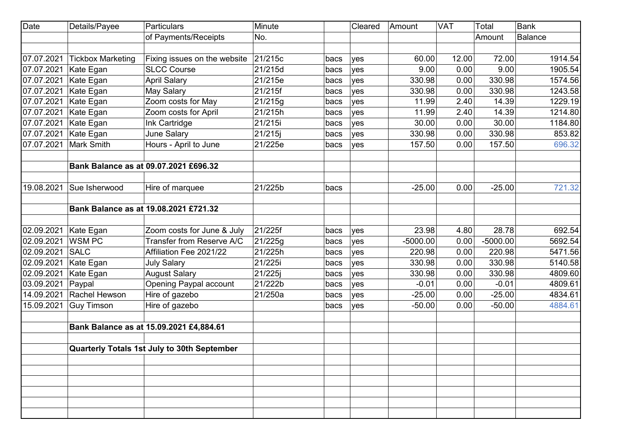| <b>Date</b> | Details/Payee            | Particulars                                 | Minute  |      | Cleared | Amount     | <b>VAT</b> | Total      | <b>Bank</b>    |
|-------------|--------------------------|---------------------------------------------|---------|------|---------|------------|------------|------------|----------------|
|             |                          | of Payments/Receipts                        | No.     |      |         |            |            | Amount     | <b>Balance</b> |
|             |                          |                                             |         |      |         |            |            |            |                |
| 07.07.2021  | <b>Tickbox Marketing</b> | Fixing issues on the website                | 21/215c | bacs | yes     | 60.00      | 12.00      | 72.00      | 1914.54        |
| 07.07.2021  | Kate Egan                | <b>SLCC Course</b>                          | 21/215d | bacs | yes     | 9.00       | 0.00       | 9.00       | 1905.54        |
| 07.07.2021  | Kate Egan                | <b>April Salary</b>                         | 21/215e | bacs | yes     | 330.98     | 0.00       | 330.98     | 1574.56        |
| 07.07.2021  | Kate Egan                | May Salary                                  | 21/215f | bacs | yes     | 330.98     | 0.00       | 330.98     | 1243.58        |
| 07.07.2021  | Kate Egan                | Zoom costs for May                          | 21/215g | bacs | yes     | 11.99      | 2.40       | 14.39      | 1229.19        |
| 07.07.2021  | Kate Egan                | Zoom costs for April                        | 21/215h | bacs | yes     | 11.99      | 2.40       | 14.39      | 1214.80        |
| 07.07.2021  | Kate Egan                | Ink Cartridge                               | 21/215i | bacs | yes     | 30.00      | 0.00       | 30.00      | 1184.80        |
| 07.07.2021  | Kate Egan                | June Salary                                 | 21/215j | bacs | yes     | 330.98     | 0.00       | 330.98     | 853.82         |
| 07.07.2021  | Mark Smith               | Hours - April to June                       | 21/225e | bacs | yes     | 157.50     | 0.00       | 157.50     | 696.32         |
|             |                          |                                             |         |      |         |            |            |            |                |
|             |                          | Bank Balance as at 09.07.2021 £696.32       |         |      |         |            |            |            |                |
|             |                          |                                             |         |      |         |            |            |            |                |
| 19.08.2021  | Sue Isherwood            | Hire of marquee                             | 21/225b | bacs |         | $-25.00$   | 0.00       | $-25.00$   | 721.32         |
|             |                          |                                             |         |      |         |            |            |            |                |
|             |                          | Bank Balance as at 19.08.2021 £721.32       |         |      |         |            |            |            |                |
|             |                          |                                             |         |      |         |            |            |            |                |
| 02.09.2021  | Kate Egan                | Zoom costs for June & July                  | 21/225f | bacs | yes     | 23.98      | 4.80       | 28.78      | 692.54         |
| 02.09.2021  | <b>WSMPC</b>             | Transfer from Reserve A/C                   | 21/225g | bacs | yes     | $-5000.00$ | 0.00       | $-5000.00$ | 5692.54        |
| 02.09.2021  | <b>SALC</b>              | Affiliation Fee 2021/22                     | 21/225h | bacs | yes     | 220.98     | 0.00       | 220.98     | 5471.56        |
| 02.09.2021  | Kate Egan                | <b>July Salary</b>                          | 21/225i | bacs | yes     | 330.98     | 0.00       | 330.98     | 5140.58        |
| 02.09.2021  | Kate Egan                | <b>August Salary</b>                        | 21/225j | bacs | yes     | 330.98     | 0.00       | 330.98     | 4809.60        |
| 03.09.2021  | Paypal                   | <b>Opening Paypal account</b>               | 21/222b | bacs | yes     | $-0.01$    | 0.00       | $-0.01$    | 4809.61        |
| 14.09.2021  | Rachel Hewson            | Hire of gazebo                              | 21/250a | bacs | yes     | $-25.00$   | 0.00       | $-25.00$   | 4834.61        |
| 15.09.2021  | <b>Guy Timson</b>        | Hire of gazebo                              |         | bacs | yes     | $-50.00$   | 0.00       | $-50.00$   | 4884.61        |
|             |                          |                                             |         |      |         |            |            |            |                |
|             |                          | Bank Balance as at 15.09.2021 £4,884.61     |         |      |         |            |            |            |                |
|             |                          |                                             |         |      |         |            |            |            |                |
|             |                          | Quarterly Totals 1st July to 30th September |         |      |         |            |            |            |                |
|             |                          |                                             |         |      |         |            |            |            |                |
|             |                          |                                             |         |      |         |            |            |            |                |
|             |                          |                                             |         |      |         |            |            |            |                |
|             |                          |                                             |         |      |         |            |            |            |                |
|             |                          |                                             |         |      |         |            |            |            |                |
|             |                          |                                             |         |      |         |            |            |            |                |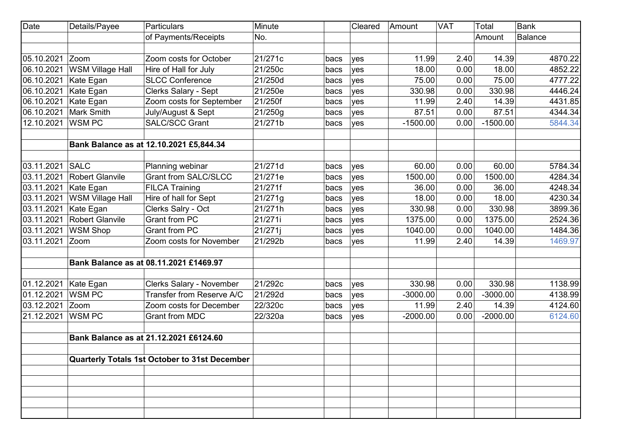| <b>Date</b> | Details/Payee           | <b>Particulars</b>                            | Minute  |      | Cleared | Amount     | <b>VAT</b> | Total      | <b>Bank</b>    |
|-------------|-------------------------|-----------------------------------------------|---------|------|---------|------------|------------|------------|----------------|
|             |                         | of Payments/Receipts                          | No.     |      |         |            |            | Amount     | <b>Balance</b> |
|             |                         |                                               |         |      |         |            |            |            |                |
| 05.10.2021  | Zoom                    | Zoom costs for October                        | 21/271c | bacs | yes     | 11.99      | 2.40       | 14.39      | 4870.22        |
| 06.10.2021  | <b>WSM Village Hall</b> | Hire of Hall for July                         | 21/250c | bacs | yes     | 18.00      | 0.00       | 18.00      | 4852.22        |
| 06.10.2021  | Kate Egan               | <b>SLCC Conference</b>                        | 21/250d | bacs | yes     | 75.00      | 0.00       | 75.00      | 4777.22        |
| 06.10.2021  | Kate Egan               | <b>Clerks Salary - Sept</b>                   | 21/250e | bacs | yes     | 330.98     | 0.00       | 330.98     | 4446.24        |
| 06.10.2021  | Kate Egan               | Zoom costs for September                      | 21/250f | bacs | yes     | 11.99      | 2.40       | 14.39      | 4431.85        |
| 06.10.2021  | Mark Smith              | July/August & Sept                            | 21/250g | bacs | yes     | 87.51      | 0.00       | 87.51      | 4344.34        |
| 12.10.2021  | <b>WSMPC</b>            | <b>SALC/SCC Grant</b>                         | 21/271b | bacs | yes     | $-1500.00$ | 0.00       | $-1500.00$ | 5844.34        |
|             |                         |                                               |         |      |         |            |            |            |                |
|             |                         | Bank Balance as at 12.10.2021 £5,844.34       |         |      |         |            |            |            |                |
|             |                         |                                               |         |      |         |            |            |            |                |
| 03.11.2021  | <b>SALC</b>             | Planning webinar                              | 21/271d | bacs | yes     | 60.00      | 0.00       | 60.00      | 5784.34        |
| 03.11.2021  | <b>Robert Glanvile</b>  | <b>Grant from SALC/SLCC</b>                   | 21/271e | bacs | yes     | 1500.00    | 0.00       | 1500.00    | 4284.34        |
| 03.11.2021  | Kate Egan               | <b>FILCA Training</b>                         | 21/271f | bacs | yes     | 36.00      | 0.00       | 36.00      | 4248.34        |
| 03.11.2021  | <b>WSM Village Hall</b> | Hire of hall for Sept                         | 21/271g | bacs | yes     | 18.00      | 0.00       | 18.00      | 4230.34        |
| 03.11.2021  | Kate Egan               | Clerks Salry - Oct                            | 21/271h | bacs | yes     | 330.98     | 0.00       | 330.98     | 3899.36        |
| 03.11.2021  | <b>Robert Glanvile</b>  | <b>Grant from PC</b>                          | 21/271i | bacs | yes     | 1375.00    | 0.00       | 1375.00    | 2524.36        |
| 03.11.2021  | <b>WSM Shop</b>         | <b>Grant from PC</b>                          | 21/271j | bacs | yes     | 1040.00    | 0.00       | 1040.00    | 1484.36        |
| 03.11.2021  | Zoom                    | Zoom costs for November                       | 21/292b | bacs | yes     | 11.99      | 2.40       | 14.39      | 1469.97        |
|             |                         | Bank Balance as at 08.11.2021 £1469.97        |         |      |         |            |            |            |                |
|             |                         |                                               |         |      |         |            |            |            |                |
| 01.12.2021  | Kate Egan               | <b>Clerks Salary - November</b>               | 21/292c | bacs | yes     | 330.98     | 0.00       | 330.98     | 1138.99        |
| 01.12.2021  | <b>WSMPC</b>            | Transfer from Reserve A/C                     | 21/292d | bacs | yes     | $-3000.00$ | 0.00       | $-3000.00$ | 4138.99        |
| 03.12.2021  | Zoom                    | Zoom costs for December                       | 22/320c | bacs | yes     | 11.99      | 2.40       | 14.39      | 4124.60        |
| 21.12.2021  | <b>WSMPC</b>            | <b>Grant from MDC</b>                         | 22/320a | bacs | yes     | $-2000.00$ | 0.00       | $-2000.00$ | 6124.60        |
|             |                         |                                               |         |      |         |            |            |            |                |
|             |                         | Bank Balance as at 21.12.2021 £6124.60        |         |      |         |            |            |            |                |
|             |                         |                                               |         |      |         |            |            |            |                |
|             |                         | Quarterly Totals 1st October to 31st December |         |      |         |            |            |            |                |
|             |                         |                                               |         |      |         |            |            |            |                |
|             |                         |                                               |         |      |         |            |            |            |                |
|             |                         |                                               |         |      |         |            |            |            |                |
|             |                         |                                               |         |      |         |            |            |            |                |
|             |                         |                                               |         |      |         |            |            |            |                |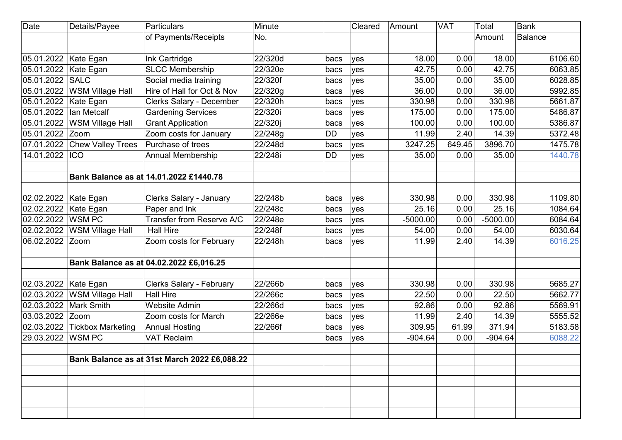| Date            | Details/Payee            | Particulars                                  | Minute  |      | Cleared | Amount     | <b>VAT</b> | Total      | <b>Bank</b>    |
|-----------------|--------------------------|----------------------------------------------|---------|------|---------|------------|------------|------------|----------------|
|                 |                          | of Payments/Receipts                         | No.     |      |         |            |            | Amount     | <b>Balance</b> |
|                 |                          |                                              |         |      |         |            |            |            |                |
| 05.01.2022      | Kate Egan                | Ink Cartridge                                | 22/320d | bacs | yes     | 18.00      | 0.00       | 18.00      | 6106.60        |
| 05.01.2022      | Kate Egan                | <b>SLCC Membership</b>                       | 22/320e | bacs | yes     | 42.75      | 0.00       | 42.75      | 6063.85        |
| 05.01.2022      | SALC                     | Social media training                        | 22/320f | bacs | yes     | 35.00      | 0.00       | 35.00      | 6028.85        |
| 05.01.2022      | <b>WSM Village Hall</b>  | Hire of Hall for Oct & Nov                   | 22/320g | bacs | yes     | 36.00      | 0.00       | 36.00      | 5992.85        |
| 05.01.2022      | Kate Egan                | <b>Clerks Salary - December</b>              | 22/320h | bacs | yes     | 330.98     | 0.00       | 330.98     | 5661.87        |
| 05.01.2022      | Ian Metcalf              | <b>Gardening Services</b>                    | 22/320i | bacs | yes     | 175.00     | 0.00       | 175.00     | 5486.87        |
| 05.01.2022      | <b>WSM Village Hall</b>  | <b>Grant Application</b>                     | 22/320j | bacs | yes     | 100.00     | 0.00       | 100.00     | 5386.87        |
| 05.01.2022      | Zoom                     | Zoom costs for January                       | 22/248g | DD   | yes     | 11.99      | 2.40       | 14.39      | 5372.48        |
| 07.01.2022      | <b>Chew Valley Trees</b> | Purchase of trees                            | 22/248d | bacs | yes     | 3247.25    | 649.45     | 3896.70    | 1475.78        |
| 14.01.2022      | <b>ICO</b>               | <b>Annual Membership</b>                     | 22/248i | DD   | yes     | 35.00      | 0.00       | 35.00      | 1440.78        |
|                 |                          |                                              |         |      |         |            |            |            |                |
|                 |                          | Bank Balance as at 14.01.2022 £1440.78       |         |      |         |            |            |            |                |
|                 |                          |                                              |         |      |         |            |            |            |                |
| 02.02.2022      | Kate Egan                | Clerks Salary - January                      | 22/248b | bacs | yes     | 330.98     | 0.00       | 330.98     | 1109.80        |
| 02.02.2022      | Kate Egan                | Paper and Ink                                | 22/248c | bacs | yes     | 25.16      | 0.00       | 25.16      | 1084.64        |
| 02.02.2022      | <b>WSMPC</b>             | Transfer from Reserve A/C                    | 22/248e | bacs | yes     | $-5000.00$ | 0.00       | $-5000.00$ | 6084.64        |
| 02.02.2022      | <b>WSM Village Hall</b>  | <b>Hall Hire</b>                             | 22/248f | bacs | yes     | 54.00      | 0.00       | 54.00      | 6030.64        |
| 06.02.2022      | Zoom                     | Zoom costs for February                      | 22/248h | bacs | yes     | 11.99      | 2.40       | 14.39      | 6016.25        |
|                 |                          |                                              |         |      |         |            |            |            |                |
|                 |                          | Bank Balance as at 04.02.2022 £6,016.25      |         |      |         |            |            |            |                |
| 02.03.2022      | Kate Egan                | Clerks Salary - February                     | 22/266b | bacs | yes     | 330.98     | 0.00       | 330.98     | 5685.27        |
| 02.03.2022      | <b>WSM Village Hall</b>  | <b>Hall Hire</b>                             | 22/266c | bacs | yes     | 22.50      | 0.00       | 22.50      | 5662.77        |
| 02.03.2022      | <b>Mark Smith</b>        | <b>Website Admin</b>                         | 22/266d | bacs | yes     | 92.86      | 0.00       | 92.86      | 5569.91        |
| 03.03.2022 Zoom |                          | Zoom costs for March                         | 22/266e | bacs | yes     | 11.99      | 2.40       | 14.39      | 5555.52        |
| 02.03.2022      | <b>Tickbox Marketing</b> | <b>Annual Hosting</b>                        | 22/266f | bacs | yes     | 309.95     | 61.99      | 371.94     | 5183.58        |
| 29.03.2022      | <b>WSMPC</b>             | <b>VAT Reclaim</b>                           |         | bacs | yes     | $-904.64$  | 0.00       | $-904.64$  | 6088.22        |
|                 |                          |                                              |         |      |         |            |            |            |                |
|                 |                          | Bank Balance as at 31st March 2022 £6,088.22 |         |      |         |            |            |            |                |
|                 |                          |                                              |         |      |         |            |            |            |                |
|                 |                          |                                              |         |      |         |            |            |            |                |
|                 |                          |                                              |         |      |         |            |            |            |                |
|                 |                          |                                              |         |      |         |            |            |            |                |
|                 |                          |                                              |         |      |         |            |            |            |                |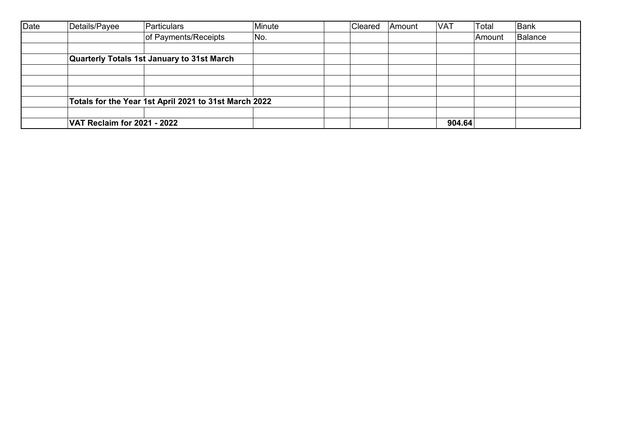| Date | Details/Payee               | Particulars                                           | Minute | Cleared | Amount | <b>VAT</b> | Total  | Bank    |
|------|-----------------------------|-------------------------------------------------------|--------|---------|--------|------------|--------|---------|
|      |                             | of Payments/Receipts                                  | No.    |         |        |            | Amount | Balance |
|      |                             |                                                       |        |         |        |            |        |         |
|      |                             | Quarterly Totals 1st January to 31st March            |        |         |        |            |        |         |
|      |                             |                                                       |        |         |        |            |        |         |
|      |                             |                                                       |        |         |        |            |        |         |
|      |                             |                                                       |        |         |        |            |        |         |
|      |                             | Totals for the Year 1st April 2021 to 31st March 2022 |        |         |        |            |        |         |
|      |                             |                                                       |        |         |        |            |        |         |
|      | VAT Reclaim for 2021 - 2022 |                                                       |        |         |        | 904.64     |        |         |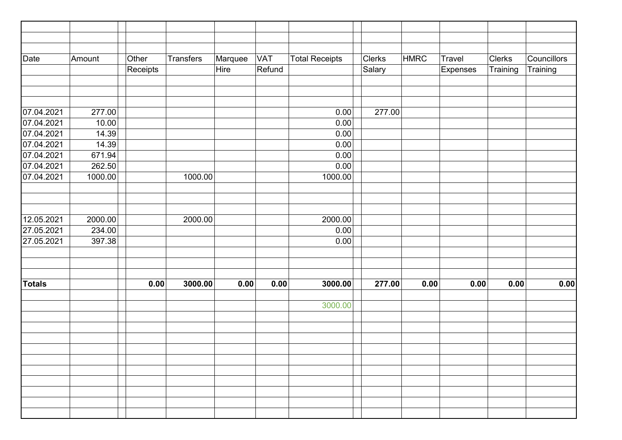| Date          | Amount  | Other    | <b>Transfers</b> | Marquee | <b>VAT</b> | <b>Total Receipts</b> | <b>Clerks</b> | <b>HMRC</b> | Travel   | Clerks   | Councillors |
|---------------|---------|----------|------------------|---------|------------|-----------------------|---------------|-------------|----------|----------|-------------|
|               |         | Receipts |                  | Hire    | Refund     |                       | Salary        |             | Expenses | Training | Training    |
|               |         |          |                  |         |            |                       |               |             |          |          |             |
|               |         |          |                  |         |            |                       |               |             |          |          |             |
|               |         |          |                  |         |            |                       |               |             |          |          |             |
| 07.04.2021    | 277.00  |          |                  |         |            | 0.00                  | 277.00        |             |          |          |             |
| 07.04.2021    | 10.00   |          |                  |         |            | 0.00                  |               |             |          |          |             |
| 07.04.2021    | 14.39   |          |                  |         |            | 0.00                  |               |             |          |          |             |
| 07.04.2021    | 14.39   |          |                  |         |            | 0.00                  |               |             |          |          |             |
| 07.04.2021    | 671.94  |          |                  |         |            | 0.00                  |               |             |          |          |             |
| 07.04.2021    | 262.50  |          |                  |         |            | 0.00                  |               |             |          |          |             |
| 07.04.2021    | 1000.00 |          | 1000.00          |         |            | 1000.00               |               |             |          |          |             |
|               |         |          |                  |         |            |                       |               |             |          |          |             |
|               |         |          |                  |         |            |                       |               |             |          |          |             |
|               |         |          |                  |         |            |                       |               |             |          |          |             |
| 12.05.2021    | 2000.00 |          | 2000.00          |         |            | 2000.00               |               |             |          |          |             |
| 27.05.2021    | 234.00  |          |                  |         |            | 0.00                  |               |             |          |          |             |
| 27.05.2021    | 397.38  |          |                  |         |            | 0.00                  |               |             |          |          |             |
|               |         |          |                  |         |            |                       |               |             |          |          |             |
|               |         |          |                  |         |            |                       |               |             |          |          |             |
|               |         |          |                  |         |            |                       |               |             |          |          |             |
| <b>Totals</b> |         | 0.00     | 3000.00          | 0.00    | 0.00       | 3000.00               | 277.00        | 0.00        | 0.00     | 0.00     | 0.00        |
|               |         |          |                  |         |            |                       |               |             |          |          |             |
|               |         |          |                  |         |            | 3000.00               |               |             |          |          |             |
|               |         |          |                  |         |            |                       |               |             |          |          |             |
|               |         |          |                  |         |            |                       |               |             |          |          |             |
|               |         |          |                  |         |            |                       |               |             |          |          |             |
|               |         |          |                  |         |            |                       |               |             |          |          |             |
|               |         |          |                  |         |            |                       |               |             |          |          |             |
|               |         |          |                  |         |            |                       |               |             |          |          |             |
|               |         |          |                  |         |            |                       |               |             |          |          |             |
|               |         |          |                  |         |            |                       |               |             |          |          |             |
|               |         |          |                  |         |            |                       |               |             |          |          |             |
|               |         |          |                  |         |            |                       |               |             |          |          |             |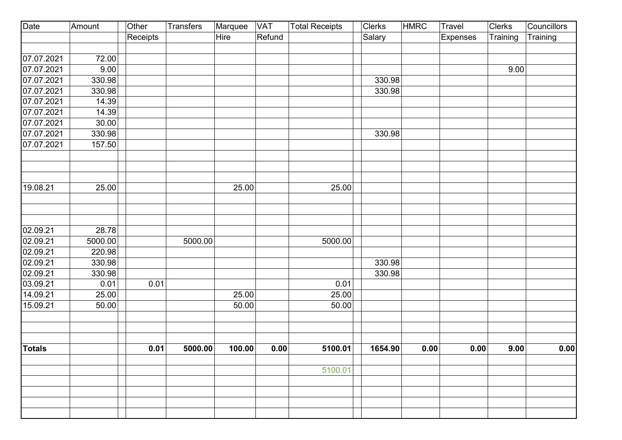| Date                 | Amount           | Other    | <b>Transfers</b> | Marquee | <b>VAT</b> | <b>Total Receipts</b> | <b>Clerks</b> | <b>HMRC</b> | Travel   | Clerks   | Councillors |
|----------------------|------------------|----------|------------------|---------|------------|-----------------------|---------------|-------------|----------|----------|-------------|
|                      |                  | Receipts |                  | Hire    | Refund     |                       | Salary        |             | Expenses | Training | Training    |
|                      |                  |          |                  |         |            |                       |               |             |          |          |             |
| 07.07.2021           | 72.00            |          |                  |         |            |                       |               |             |          |          |             |
| 07.07.2021           | 9.00             |          |                  |         |            |                       |               |             |          | 9.00     |             |
| 07.07.2021           | 330.98           |          |                  |         |            |                       | 330.98        |             |          |          |             |
| 07.07.2021           | 330.98           |          |                  |         |            |                       | 330.98        |             |          |          |             |
| 07.07.2021           | 14.39            |          |                  |         |            |                       |               |             |          |          |             |
| 07.07.2021           | 14.39            |          |                  |         |            |                       |               |             |          |          |             |
| 07.07.2021           | 30.00            |          |                  |         |            |                       |               |             |          |          |             |
| 07.07.2021           | 330.98           |          |                  |         |            |                       | 330.98        |             |          |          |             |
| 07.07.2021           | 157.50           |          |                  |         |            |                       |               |             |          |          |             |
| 19.08.21             | 25.00            |          |                  | 25.00   |            | 25.00                 |               |             |          |          |             |
|                      |                  |          |                  |         |            |                       |               |             |          |          |             |
|                      |                  |          |                  |         |            |                       |               |             |          |          |             |
| 02.09.21             | 28.78            |          |                  |         |            |                       |               |             |          |          |             |
| 02.09.21             | 5000.00          |          | 5000.00          |         |            | 5000.00               |               |             |          |          |             |
| 02.09.21<br>02.09.21 | 220.98<br>330.98 |          |                  |         |            |                       | 330.98        |             |          |          |             |
| 02.09.21             | 330.98           |          |                  |         |            |                       | 330.98        |             |          |          |             |
| 03.09.21             | 0.01             | 0.01     |                  |         |            | 0.01                  |               |             |          |          |             |
| 14.09.21             | 25.00            |          |                  | 25.00   |            | 25.00                 |               |             |          |          |             |
| 15.09.21             | 50.00            |          |                  | 50.00   |            | 50.00                 |               |             |          |          |             |
|                      |                  |          |                  |         |            |                       |               |             |          |          |             |
| <b>Totals</b>        |                  | 0.01     | 5000.00          | 100.00  | 0.00       | 5100.01               | 1654.90       | 0.00        | 0.00     | 9.00     | 0.00        |
|                      |                  |          |                  |         |            | 5100.01               |               |             |          |          |             |
|                      |                  |          |                  |         |            |                       |               |             |          |          |             |
|                      |                  |          |                  |         |            |                       |               |             |          |          |             |
|                      |                  |          |                  |         |            |                       |               |             |          |          |             |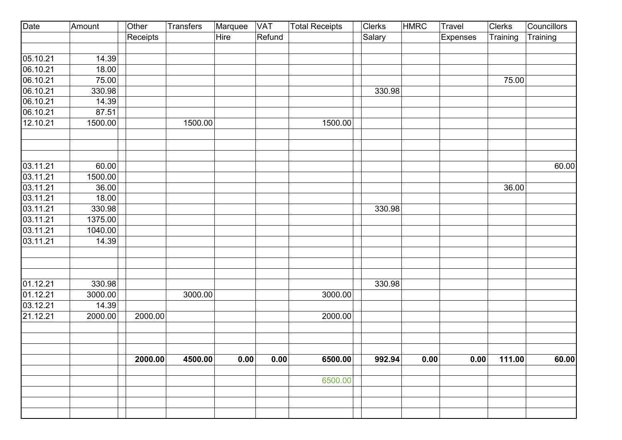| Date     | Amount  | Other    | Transfers | Marquee | <b>VAT</b> | <b>Total Receipts</b> | <b>Clerks</b> | <b>HMRC</b> | Travel   | Clerks   | <b>Councillors</b> |
|----------|---------|----------|-----------|---------|------------|-----------------------|---------------|-------------|----------|----------|--------------------|
|          |         | Receipts |           | Hire    | Refund     |                       | Salary        |             | Expenses | Training | Training           |
|          |         |          |           |         |            |                       |               |             |          |          |                    |
| 05.10.21 | 14.39   |          |           |         |            |                       |               |             |          |          |                    |
| 06.10.21 | 18.00   |          |           |         |            |                       |               |             |          |          |                    |
| 06.10.21 | 75.00   |          |           |         |            |                       |               |             |          | 75.00    |                    |
| 06.10.21 | 330.98  |          |           |         |            |                       | 330.98        |             |          |          |                    |
| 06.10.21 | 14.39   |          |           |         |            |                       |               |             |          |          |                    |
| 06.10.21 | 87.51   |          |           |         |            |                       |               |             |          |          |                    |
| 12.10.21 | 1500.00 |          | 1500.00   |         |            | 1500.00               |               |             |          |          |                    |
|          |         |          |           |         |            |                       |               |             |          |          |                    |
| 03.11.21 | 60.00   |          |           |         |            |                       |               |             |          |          | 60.00              |
| 03.11.21 | 1500.00 |          |           |         |            |                       |               |             |          |          |                    |
| 03.11.21 | 36.00   |          |           |         |            |                       |               |             |          | 36.00    |                    |
| 03.11.21 | 18.00   |          |           |         |            |                       |               |             |          |          |                    |
| 03.11.21 | 330.98  |          |           |         |            |                       | 330.98        |             |          |          |                    |
| 03.11.21 | 1375.00 |          |           |         |            |                       |               |             |          |          |                    |
| 03.11.21 | 1040.00 |          |           |         |            |                       |               |             |          |          |                    |
| 03.11.21 | 14.39   |          |           |         |            |                       |               |             |          |          |                    |
|          |         |          |           |         |            |                       |               |             |          |          |                    |
|          |         |          |           |         |            |                       |               |             |          |          |                    |
| 01.12.21 | 330.98  |          |           |         |            |                       | 330.98        |             |          |          |                    |
| 01.12.21 | 3000.00 |          | 3000.00   |         |            | 3000.00               |               |             |          |          |                    |
| 03.12.21 | 14.39   |          |           |         |            |                       |               |             |          |          |                    |
| 21.12.21 | 2000.00 | 2000.00  |           |         |            | 2000.00               |               |             |          |          |                    |
|          |         |          |           |         |            |                       |               |             |          |          |                    |
|          |         |          |           |         |            |                       |               |             |          |          |                    |
|          |         | 2000.00  | 4500.00   | 0.00    | 0.00       | 6500.00               | 992.94        | 0.00        | 0.00     | 111.00   | 60.00              |
|          |         |          |           |         |            | 6500.00               |               |             |          |          |                    |
|          |         |          |           |         |            |                       |               |             |          |          |                    |
|          |         |          |           |         |            |                       |               |             |          |          |                    |
|          |         |          |           |         |            |                       |               |             |          |          |                    |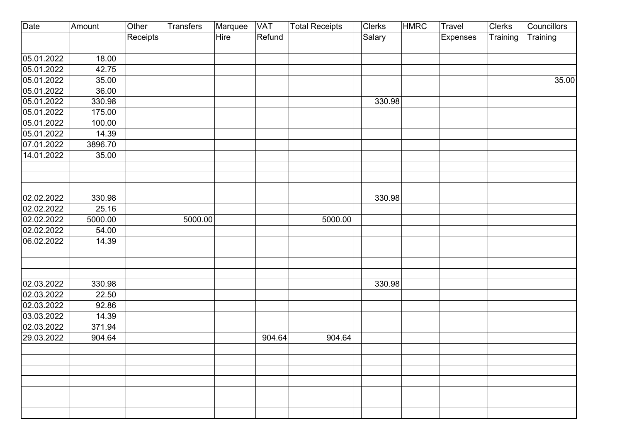| Date       | Amount  | Other    | <b>Transfers</b> | Marquee | <b>VAT</b> | <b>Total Receipts</b> | Clerks | <b>HMRC</b> | <b>Travel</b> | Clerks   | <b>Councillors</b> |
|------------|---------|----------|------------------|---------|------------|-----------------------|--------|-------------|---------------|----------|--------------------|
|            |         | Receipts |                  | Hire    | Refund     |                       | Salary |             | Expenses      | Training | Training           |
|            |         |          |                  |         |            |                       |        |             |               |          |                    |
| 05.01.2022 | 18.00   |          |                  |         |            |                       |        |             |               |          |                    |
| 05.01.2022 | 42.75   |          |                  |         |            |                       |        |             |               |          |                    |
| 05.01.2022 | 35.00   |          |                  |         |            |                       |        |             |               |          | 35.00              |
| 05.01.2022 | 36.00   |          |                  |         |            |                       |        |             |               |          |                    |
| 05.01.2022 | 330.98  |          |                  |         |            |                       | 330.98 |             |               |          |                    |
| 05.01.2022 | 175.00  |          |                  |         |            |                       |        |             |               |          |                    |
| 05.01.2022 | 100.00  |          |                  |         |            |                       |        |             |               |          |                    |
| 05.01.2022 | 14.39   |          |                  |         |            |                       |        |             |               |          |                    |
| 07.01.2022 | 3896.70 |          |                  |         |            |                       |        |             |               |          |                    |
| 14.01.2022 | 35.00   |          |                  |         |            |                       |        |             |               |          |                    |
|            |         |          |                  |         |            |                       |        |             |               |          |                    |
|            |         |          |                  |         |            |                       |        |             |               |          |                    |
|            |         |          |                  |         |            |                       |        |             |               |          |                    |
| 02.02.2022 | 330.98  |          |                  |         |            |                       | 330.98 |             |               |          |                    |
| 02.02.2022 | 25.16   |          |                  |         |            |                       |        |             |               |          |                    |
| 02.02.2022 | 5000.00 |          | 5000.00          |         |            | 5000.00               |        |             |               |          |                    |
| 02.02.2022 | 54.00   |          |                  |         |            |                       |        |             |               |          |                    |
| 06.02.2022 | 14.39   |          |                  |         |            |                       |        |             |               |          |                    |
|            |         |          |                  |         |            |                       |        |             |               |          |                    |
|            |         |          |                  |         |            |                       |        |             |               |          |                    |
|            |         |          |                  |         |            |                       |        |             |               |          |                    |
| 02.03.2022 | 330.98  |          |                  |         |            |                       | 330.98 |             |               |          |                    |
| 02.03.2022 | 22.50   |          |                  |         |            |                       |        |             |               |          |                    |
| 02.03.2022 | 92.86   |          |                  |         |            |                       |        |             |               |          |                    |
| 03.03.2022 | 14.39   |          |                  |         |            |                       |        |             |               |          |                    |
| 02.03.2022 | 371.94  |          |                  |         |            |                       |        |             |               |          |                    |
| 29.03.2022 | 904.64  |          |                  |         | 904.64     | 904.64                |        |             |               |          |                    |
|            |         |          |                  |         |            |                       |        |             |               |          |                    |
|            |         |          |                  |         |            |                       |        |             |               |          |                    |
|            |         |          |                  |         |            |                       |        |             |               |          |                    |
|            |         |          |                  |         |            |                       |        |             |               |          |                    |
|            |         |          |                  |         |            |                       |        |             |               |          |                    |
|            |         |          |                  |         |            |                       |        |             |               |          |                    |
|            |         |          |                  |         |            |                       |        |             |               |          |                    |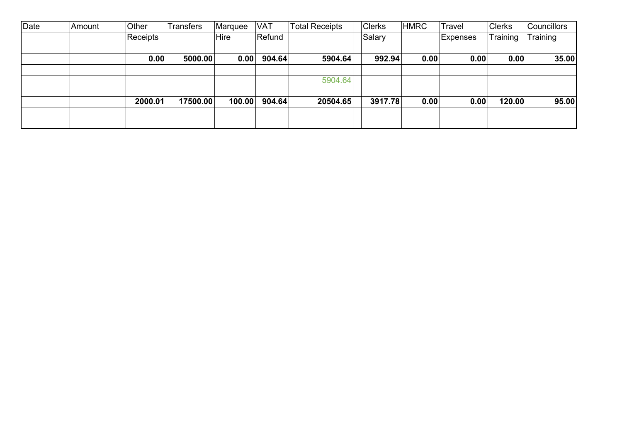| Date | Amount | Other    | <b>Transfers</b> | Marquee | <b>VAT</b> | Total Receipts | <b>Clerks</b> | <b>HMRC</b> | Travel   | <b>Clerks</b> | <b>Councillors</b> |
|------|--------|----------|------------------|---------|------------|----------------|---------------|-------------|----------|---------------|--------------------|
|      |        | Receipts |                  | Hire    | Refund     |                | Salary        |             | Expenses | Training      | Training           |
|      |        |          |                  |         |            |                |               |             |          |               |                    |
|      |        | 0.00     | 5000.00          | 0.00    | 904.64     | 5904.64        | 992.94        | 0.00        | 0.00     | 0.00          | 35.00              |
|      |        |          |                  |         |            |                |               |             |          |               |                    |
|      |        |          |                  |         |            | 5904.64        |               |             |          |               |                    |
|      |        |          |                  |         |            |                |               |             |          |               |                    |
|      |        | 2000.01  | 17500.00         | 100.00  | 904.64     | 20504.65       | 3917.78       | 0.00        | 0.00     | 120.00        | 95.00              |
|      |        |          |                  |         |            |                |               |             |          |               |                    |
|      |        |          |                  |         |            |                |               |             |          |               |                    |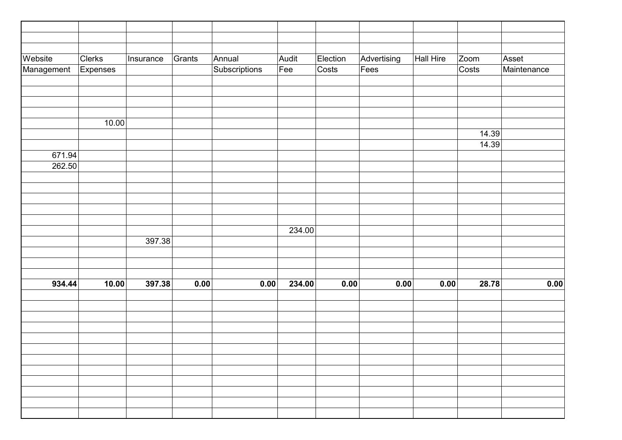| Election<br>Advertising<br><b>Clerks</b><br>Grants<br>Annual<br>Audit<br><b>Hall Hire</b><br>Zoom<br>Asset<br>Insurance<br>Subscriptions<br>Fee<br>$\overline{\text{Costs}}$<br>Fees<br>Costs<br>Maintenance<br>Management<br>Expenses<br>10.00<br>14.39<br>14.39<br>671.94<br>262.50<br>234.00<br>397.38<br>934.44<br>10.00<br>234.00<br>28.78<br>397.38<br>0.00<br>0.00<br>0.00<br>0.00<br>0.00 |         |  |  |  |  |  |
|---------------------------------------------------------------------------------------------------------------------------------------------------------------------------------------------------------------------------------------------------------------------------------------------------------------------------------------------------------------------------------------------------|---------|--|--|--|--|--|
| 0.00                                                                                                                                                                                                                                                                                                                                                                                              |         |  |  |  |  |  |
|                                                                                                                                                                                                                                                                                                                                                                                                   |         |  |  |  |  |  |
|                                                                                                                                                                                                                                                                                                                                                                                                   | Website |  |  |  |  |  |
|                                                                                                                                                                                                                                                                                                                                                                                                   |         |  |  |  |  |  |
|                                                                                                                                                                                                                                                                                                                                                                                                   |         |  |  |  |  |  |
|                                                                                                                                                                                                                                                                                                                                                                                                   |         |  |  |  |  |  |
|                                                                                                                                                                                                                                                                                                                                                                                                   |         |  |  |  |  |  |
|                                                                                                                                                                                                                                                                                                                                                                                                   |         |  |  |  |  |  |
|                                                                                                                                                                                                                                                                                                                                                                                                   |         |  |  |  |  |  |
|                                                                                                                                                                                                                                                                                                                                                                                                   |         |  |  |  |  |  |
|                                                                                                                                                                                                                                                                                                                                                                                                   |         |  |  |  |  |  |
|                                                                                                                                                                                                                                                                                                                                                                                                   |         |  |  |  |  |  |
|                                                                                                                                                                                                                                                                                                                                                                                                   |         |  |  |  |  |  |
|                                                                                                                                                                                                                                                                                                                                                                                                   |         |  |  |  |  |  |
|                                                                                                                                                                                                                                                                                                                                                                                                   |         |  |  |  |  |  |
|                                                                                                                                                                                                                                                                                                                                                                                                   |         |  |  |  |  |  |
|                                                                                                                                                                                                                                                                                                                                                                                                   |         |  |  |  |  |  |
|                                                                                                                                                                                                                                                                                                                                                                                                   |         |  |  |  |  |  |
|                                                                                                                                                                                                                                                                                                                                                                                                   |         |  |  |  |  |  |
|                                                                                                                                                                                                                                                                                                                                                                                                   |         |  |  |  |  |  |
|                                                                                                                                                                                                                                                                                                                                                                                                   |         |  |  |  |  |  |
|                                                                                                                                                                                                                                                                                                                                                                                                   |         |  |  |  |  |  |
|                                                                                                                                                                                                                                                                                                                                                                                                   |         |  |  |  |  |  |
|                                                                                                                                                                                                                                                                                                                                                                                                   |         |  |  |  |  |  |
|                                                                                                                                                                                                                                                                                                                                                                                                   |         |  |  |  |  |  |
|                                                                                                                                                                                                                                                                                                                                                                                                   |         |  |  |  |  |  |
|                                                                                                                                                                                                                                                                                                                                                                                                   |         |  |  |  |  |  |
|                                                                                                                                                                                                                                                                                                                                                                                                   |         |  |  |  |  |  |
|                                                                                                                                                                                                                                                                                                                                                                                                   |         |  |  |  |  |  |
|                                                                                                                                                                                                                                                                                                                                                                                                   |         |  |  |  |  |  |
|                                                                                                                                                                                                                                                                                                                                                                                                   |         |  |  |  |  |  |
|                                                                                                                                                                                                                                                                                                                                                                                                   |         |  |  |  |  |  |
|                                                                                                                                                                                                                                                                                                                                                                                                   |         |  |  |  |  |  |
|                                                                                                                                                                                                                                                                                                                                                                                                   |         |  |  |  |  |  |
|                                                                                                                                                                                                                                                                                                                                                                                                   |         |  |  |  |  |  |
|                                                                                                                                                                                                                                                                                                                                                                                                   |         |  |  |  |  |  |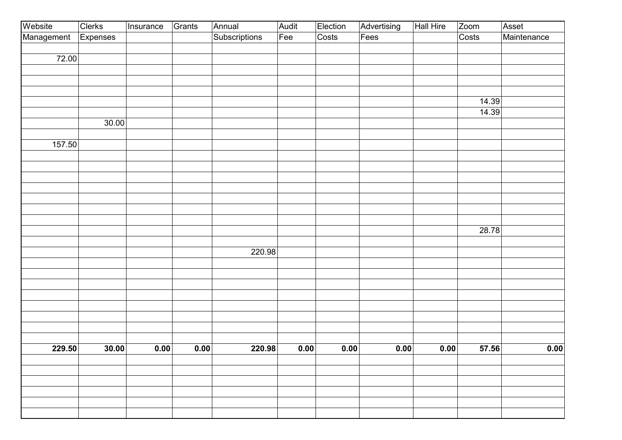| Website    | Clerks   | Insurance | Grants            | Annual        | Audit | Election | Advertising | Hall Hire | Zoom  | Asset       |
|------------|----------|-----------|-------------------|---------------|-------|----------|-------------|-----------|-------|-------------|
| Management | Expenses |           |                   | Subscriptions | Fee   | Costs    | $F$ ees     |           | Costs | Maintenance |
|            |          |           |                   |               |       |          |             |           |       |             |
| 72.00      |          |           |                   |               |       |          |             |           |       |             |
|            |          |           |                   |               |       |          |             |           |       |             |
|            |          |           |                   |               |       |          |             |           |       |             |
|            |          |           |                   |               |       |          |             |           |       |             |
|            |          |           |                   |               |       |          |             |           | 14.39 |             |
|            |          |           |                   |               |       |          |             |           | 14.39 |             |
|            | 30.00    |           |                   |               |       |          |             |           |       |             |
|            |          |           |                   |               |       |          |             |           |       |             |
| 157.50     |          |           |                   |               |       |          |             |           |       |             |
|            |          |           |                   |               |       |          |             |           |       |             |
|            |          |           |                   |               |       |          |             |           |       |             |
|            |          |           |                   |               |       |          |             |           |       |             |
|            |          |           |                   |               |       |          |             |           |       |             |
|            |          |           |                   |               |       |          |             |           |       |             |
|            |          |           |                   |               |       |          |             |           |       |             |
|            |          |           |                   |               |       |          |             |           |       |             |
|            |          |           |                   |               |       |          |             |           | 28.78 |             |
|            |          |           |                   |               |       |          |             |           |       |             |
|            |          |           |                   | 220.98        |       |          |             |           |       |             |
|            |          |           |                   |               |       |          |             |           |       |             |
|            |          |           |                   |               |       |          |             |           |       |             |
|            |          |           |                   |               |       |          |             |           |       |             |
|            |          |           |                   |               |       |          |             |           |       |             |
|            |          |           |                   |               |       |          |             |           |       |             |
|            |          |           |                   |               |       |          |             |           |       |             |
|            |          |           |                   |               |       |          |             |           |       |             |
|            |          |           |                   |               |       |          |             |           |       |             |
| 229.50     | 30.00    | 0.00      | $\overline{0.00}$ | 220.98        | 0.00  | 0.00     | 0.00        | 0.00      | 57.56 | 0.00        |
|            |          |           |                   |               |       |          |             |           |       |             |
|            |          |           |                   |               |       |          |             |           |       |             |
|            |          |           |                   |               |       |          |             |           |       |             |
|            |          |           |                   |               |       |          |             |           |       |             |
|            |          |           |                   |               |       |          |             |           |       |             |
|            |          |           |                   |               |       |          |             |           |       |             |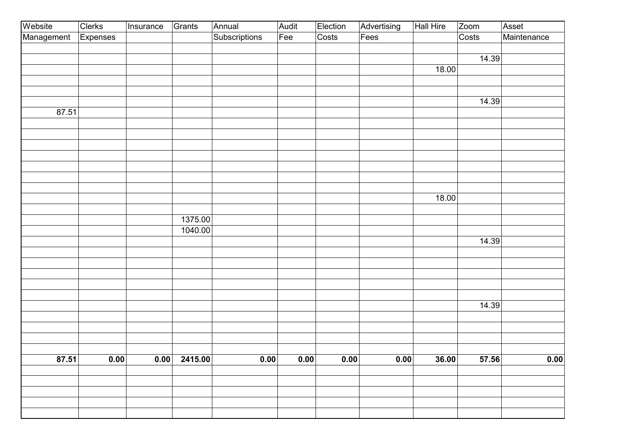| Fees<br>18.00 | Costs<br>14.39<br>14.39 | Maintenance             |
|---------------|-------------------------|-------------------------|
|               |                         |                         |
|               |                         |                         |
|               |                         |                         |
|               |                         |                         |
|               |                         |                         |
|               |                         |                         |
|               |                         |                         |
|               |                         |                         |
|               |                         |                         |
|               |                         |                         |
|               |                         |                         |
|               |                         |                         |
|               |                         |                         |
|               |                         |                         |
|               |                         |                         |
|               |                         |                         |
| 18.00         |                         |                         |
|               |                         |                         |
|               |                         |                         |
|               |                         |                         |
|               | 14.39                   |                         |
|               |                         |                         |
|               |                         |                         |
|               |                         |                         |
|               |                         |                         |
|               |                         |                         |
|               |                         |                         |
|               |                         |                         |
|               |                         |                         |
|               |                         |                         |
|               |                         |                         |
|               |                         | 0.00                    |
|               |                         |                         |
|               |                         |                         |
|               |                         |                         |
|               |                         |                         |
|               |                         |                         |
|               | 0.00                    | 14.39<br>57.56<br>36.00 |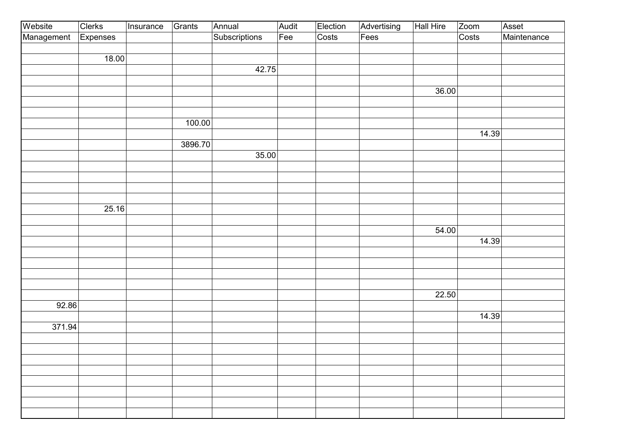| Website    | <b>Clerks</b> | Insurance | Grants  | Annual        | Audit | Election | Advertising | Hall Hire | Zoom  | Asset       |
|------------|---------------|-----------|---------|---------------|-------|----------|-------------|-----------|-------|-------------|
| Management | Expenses      |           |         | Subscriptions | Fee   | Costs    | Fees        |           | Costs | Maintenance |
|            |               |           |         |               |       |          |             |           |       |             |
|            | 18.00         |           |         |               |       |          |             |           |       |             |
|            |               |           |         | 42.75         |       |          |             |           |       |             |
|            |               |           |         |               |       |          |             |           |       |             |
|            |               |           |         |               |       |          |             | 36.00     |       |             |
|            |               |           |         |               |       |          |             |           |       |             |
|            |               |           |         |               |       |          |             |           |       |             |
|            |               |           | 100.00  |               |       |          |             |           |       |             |
|            |               |           |         |               |       |          |             |           | 14.39 |             |
|            |               |           | 3896.70 |               |       |          |             |           |       |             |
|            |               |           |         | 35.00         |       |          |             |           |       |             |
|            |               |           |         |               |       |          |             |           |       |             |
|            |               |           |         |               |       |          |             |           |       |             |
|            |               |           |         |               |       |          |             |           |       |             |
|            |               |           |         |               |       |          |             |           |       |             |
|            | 25.16         |           |         |               |       |          |             |           |       |             |
|            |               |           |         |               |       |          |             |           |       |             |
|            |               |           |         |               |       |          |             | 54.00     |       |             |
|            |               |           |         |               |       |          |             |           | 14.39 |             |
|            |               |           |         |               |       |          |             |           |       |             |
|            |               |           |         |               |       |          |             |           |       |             |
|            |               |           |         |               |       |          |             |           |       |             |
|            |               |           |         |               |       |          |             |           |       |             |
|            |               |           |         |               |       |          |             | 22.50     |       |             |
| 92.86      |               |           |         |               |       |          |             |           |       |             |
|            |               |           |         |               |       |          |             |           | 14.39 |             |
| 371.94     |               |           |         |               |       |          |             |           |       |             |
|            |               |           |         |               |       |          |             |           |       |             |
|            |               |           |         |               |       |          |             |           |       |             |
|            |               |           |         |               |       |          |             |           |       |             |
|            |               |           |         |               |       |          |             |           |       |             |
|            |               |           |         |               |       |          |             |           |       |             |
|            |               |           |         |               |       |          |             |           |       |             |
|            |               |           |         |               |       |          |             |           |       |             |
|            |               |           |         |               |       |          |             |           |       |             |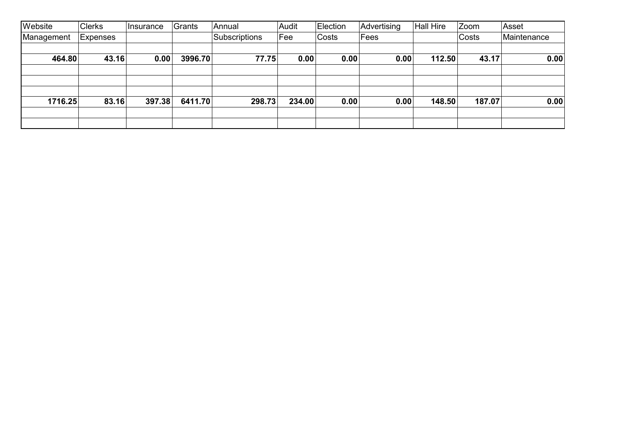| Website    | <b>Clerks</b>   | <b>Insurance</b> | Grants  | Annual        | Audit  | Election | Advertising | <b>Hall Hire</b> | Zoom   | Asset       |
|------------|-----------------|------------------|---------|---------------|--------|----------|-------------|------------------|--------|-------------|
| Management | <b>Expenses</b> |                  |         | Subscriptions | Fee    | Costs    | Fees        |                  | Costs  | Maintenance |
|            |                 |                  |         |               |        |          |             |                  |        |             |
| 464.80     | 43.16           | 0.00             | 3996.70 | 77.75         | 0.00   | 0.00     | 0.00        | 112.50           | 43.17  | 0.00        |
|            |                 |                  |         |               |        |          |             |                  |        |             |
|            |                 |                  |         |               |        |          |             |                  |        |             |
|            |                 |                  |         |               |        |          |             |                  |        |             |
| 1716.25    | 83.16           | 397.38           | 6411.70 | 298.73        | 234.00 | 0.00     | 0.00        | 148.50           | 187.07 | 0.00        |
|            |                 |                  |         |               |        |          |             |                  |        |             |
|            |                 |                  |         |               |        |          |             |                  |        |             |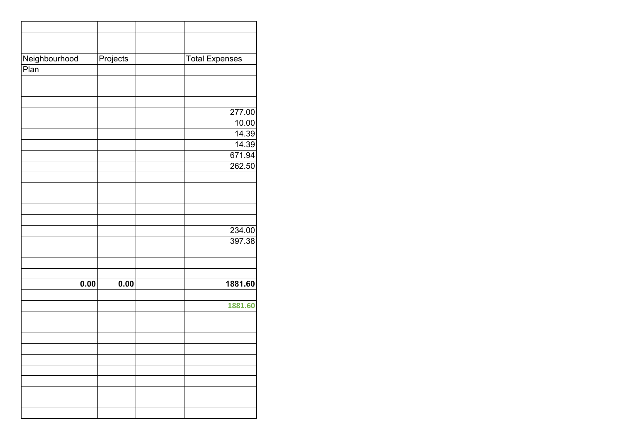| Neighbourhood | Projects | <b>Total Expenses</b> |
|---------------|----------|-----------------------|
| Pian          |          |                       |
|               |          |                       |
|               |          |                       |
|               |          |                       |
|               |          |                       |
|               |          | 277.00                |
|               |          | 10.00                 |
|               |          | 14.39                 |
|               |          | 14.39                 |
|               |          | 671.94                |
|               |          | 262.50                |
|               |          |                       |
|               |          |                       |
|               |          |                       |
|               |          |                       |
|               |          |                       |
|               |          | 234.00                |
|               |          | 397.38                |
|               |          |                       |
|               |          |                       |
|               |          |                       |
|               |          |                       |
| 0.00          | 0.00     | 1881.60               |
|               |          |                       |
|               |          | 1881.60               |
|               |          |                       |
|               |          |                       |
|               |          |                       |
|               |          |                       |
|               |          |                       |
|               |          |                       |
|               |          |                       |
|               |          |                       |
|               |          |                       |
|               |          |                       |
|               |          |                       |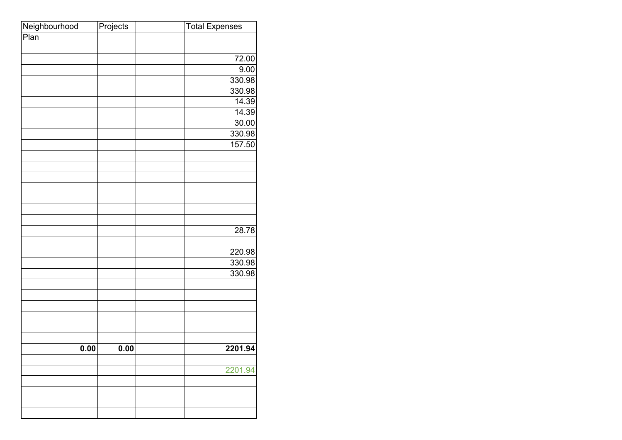| Neighbourhood | Projects | <b>Total Expenses</b> |
|---------------|----------|-----------------------|
| Pian          |          |                       |
|               |          |                       |
|               |          | 72.00                 |
|               |          | 9.00                  |
|               |          | 330.98                |
|               |          | 330.98                |
|               |          | 14.39                 |
|               |          | 14.39                 |
|               |          | 30.00                 |
|               |          | 330.98                |
|               |          | 157.50                |
|               |          |                       |
|               |          |                       |
|               |          |                       |
|               |          |                       |
|               |          |                       |
|               |          |                       |
|               |          |                       |
|               |          | 28.78                 |
|               |          |                       |
|               |          | 220.98                |
|               |          | 330.98                |
|               |          | 330.98                |
|               |          |                       |
|               |          |                       |
|               |          |                       |
|               |          |                       |
|               |          |                       |
|               |          |                       |
| 0.00          | 0.00     | 2201.94               |
|               |          |                       |
|               |          | 2201.94               |
|               |          |                       |
|               |          |                       |
|               |          |                       |
|               |          |                       |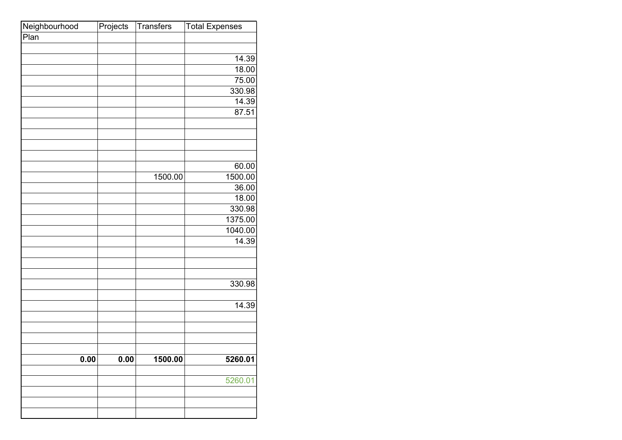| Neighbourhood | Projects | <b>Transfers</b> | <b>Total Expenses</b> |
|---------------|----------|------------------|-----------------------|
| Plan          |          |                  |                       |
|               |          |                  |                       |
|               |          |                  | 14.39                 |
|               |          |                  | 18.00                 |
|               |          |                  | 75.00                 |
|               |          |                  | 330.98                |
|               |          |                  | 14.39                 |
|               |          |                  | 87.51                 |
|               |          |                  |                       |
|               |          |                  |                       |
|               |          |                  |                       |
|               |          |                  |                       |
|               |          |                  | 60.00                 |
|               |          | 1500.00          | 1500.00               |
|               |          |                  | 36.00                 |
|               |          |                  | 18.00                 |
|               |          |                  | 330.98                |
|               |          |                  | 1375.00               |
|               |          |                  | 1040.00               |
|               |          |                  | 14.39                 |
|               |          |                  |                       |
|               |          |                  |                       |
|               |          |                  |                       |
|               |          |                  | 330.98                |
|               |          |                  |                       |
|               |          |                  | 14.39                 |
|               |          |                  |                       |
|               |          |                  |                       |
|               |          |                  |                       |
|               |          |                  |                       |
| 0.00          | 0.00     | 1500.00          | 5260.01               |
|               |          |                  |                       |
|               |          |                  | 5260.01               |
|               |          |                  |                       |
|               |          |                  |                       |
|               |          |                  |                       |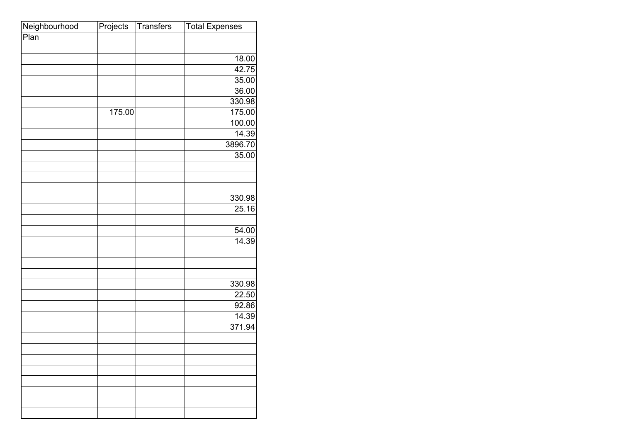| Neighbourhood | Projects | <b>Transfers</b> | <b>Total Expenses</b> |
|---------------|----------|------------------|-----------------------|
| Plan          |          |                  |                       |
|               |          |                  |                       |
|               |          |                  | 18.00                 |
|               |          |                  | 42.75                 |
|               |          |                  | 35.00                 |
|               |          |                  | 36.00                 |
|               |          |                  | 330.98                |
|               | 175.00   |                  | 175.00                |
|               |          |                  | 100.00                |
|               |          |                  | 14.39                 |
|               |          |                  | 3896.70               |
|               |          |                  | 35.00                 |
|               |          |                  |                       |
|               |          |                  |                       |
|               |          |                  |                       |
|               |          |                  | 330.98                |
|               |          |                  | 25.16                 |
|               |          |                  |                       |
|               |          |                  | 54.00                 |
|               |          |                  | 14.39                 |
|               |          |                  |                       |
|               |          |                  |                       |
|               |          |                  |                       |
|               |          |                  | 330.98                |
|               |          |                  | 22.50                 |
|               |          |                  | 92.86                 |
|               |          |                  | 14.39                 |
|               |          |                  | 371.94                |
|               |          |                  |                       |
|               |          |                  |                       |
|               |          |                  |                       |
|               |          |                  |                       |
|               |          |                  |                       |
|               |          |                  |                       |
|               |          |                  |                       |
|               |          |                  |                       |